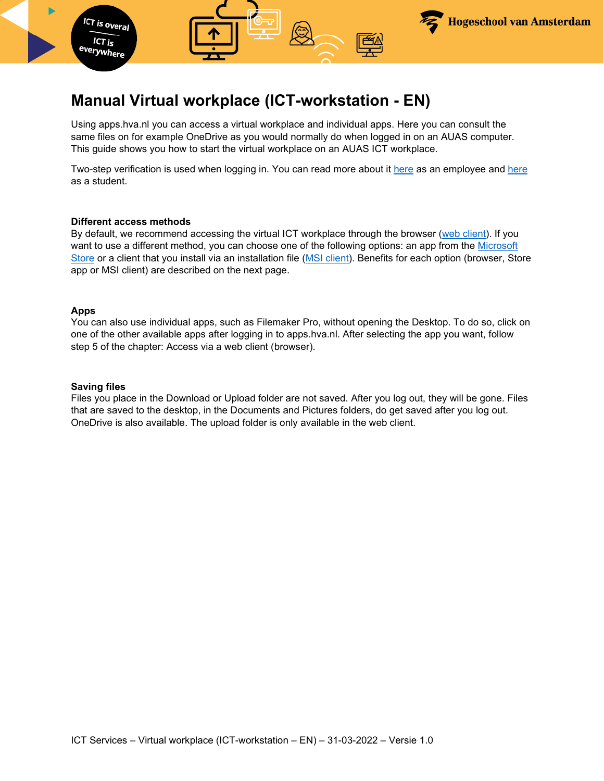

Using apps.hva.nl you can access a virtual workplace and individual apps. Here you can consult the same files on for example OneDrive as you would normally do when logged in on an AUAS computer. This guide shows you how to start the virtual workplace on an AUAS ICT workplace.

**Hogeschool van Amsterdam** 

Two-step verification is used when logging in. You can read more about it [here](https://az.hva.nl/en/employees/az-lemmas/employees/auas/its-si/two-step-verification/two-step-verification.html) as an employee and [here](https://student.amsterdamuas.com/az-lemmas/students/auas/its-si/two-step-verification/two-step-verification.html) as a student.

#### **Different access methods**

**ICT** is overal  $ICT$  is everywhere

By default, we recommend accessing the virtual ICT workplace through the browser [\(web client\)](#page-2-0). If you want to use a different method, you can choose one of the following options: an app from the [Microsoft](#page-4-0)  [Store](#page-4-0) or a client that you install via an installation file [\(MSI client\)](#page-6-0). Benefits for each option (browser, Store app or MSI client) are described on the next page.

#### **Apps**

You can also use individual apps, such as Filemaker Pro, without opening the Desktop. To do so, click on one of the other available apps after logging in to apps.hva.nl. After selecting the app you want, follow step 5 of the chapter: Access via a web client (browser).

#### **Saving files**

Files you place in the Download or Upload folder are not saved. After you log out, they will be gone. Files that are saved to the desktop, in the Documents and Pictures folders, do get saved after you log out. OneDrive is also available. The upload folder is only available in the web client.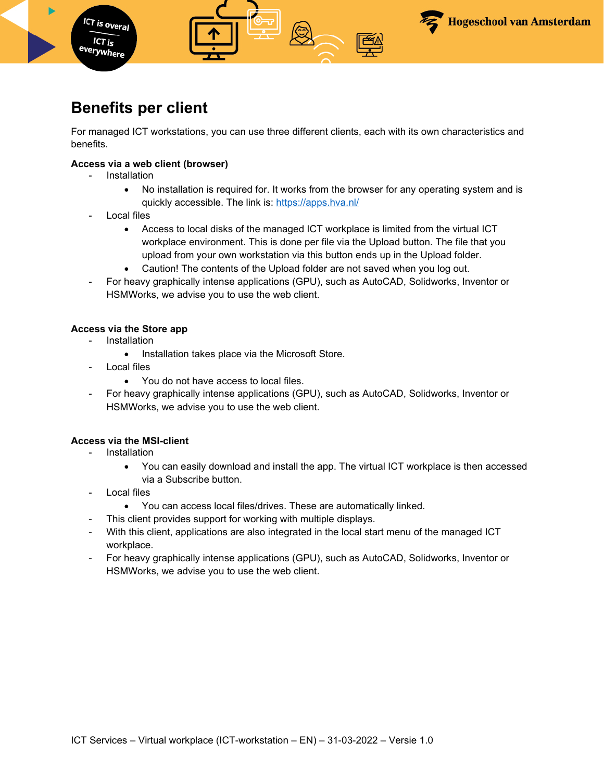

## **Benefits per client**

For managed ICT workstations, you can use three different clients, each with its own characteristics and benefits.

### **Access via a web client (browser)**

**Installation** 

**ICT** is overal  $ICT$  is <sup>everywhere</sup>

- No installation is required for. It works from the browser for any operating system and is quickly accessible. The link is: <https://apps.hva.nl/>
- Local files
	- Access to local disks of the managed ICT workplace is limited from the virtual ICT workplace environment. This is done per file via the Upload button. The file that you upload from your own workstation via this button ends up in the Upload folder.
	- Caution! The contents of the Upload folder are not saved when you log out.
- For heavy graphically intense applications (GPU), such as AutoCAD, Solidworks, Inventor or HSMWorks, we advise you to use the web client.

### **Access via the Store app**

- Installation
	- Installation takes place via the Microsoft Store.
- Local files
	- You do not have access to local files.
- For heavy graphically intense applications (GPU), such as AutoCAD, Solidworks, Inventor or HSMWorks, we advise you to use the web client.

### **Access via the MSI-client**

- **Installation** 
	- You can easily download and install the app. The virtual ICT workplace is then accessed via a Subscribe button.
- Local files
	- You can access local files/drives. These are automatically linked.
- This client provides support for working with multiple displays.
- With this client, applications are also integrated in the local start menu of the managed ICT workplace.
- For heavy graphically intense applications (GPU), such as AutoCAD, Solidworks, Inventor or HSMWorks, we advise you to use the web client.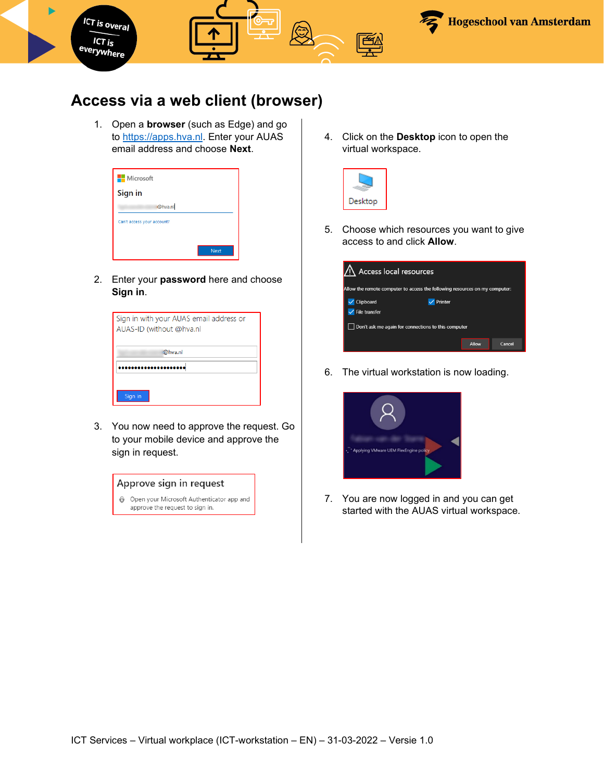

## <span id="page-2-0"></span>**Access via a web client (browser)**

1. Open a **browser** (such as Edge) and go to [https://apps.hva.nl.](https://apps.hva.nl/) Enter your AUAS email address and choose **Next**.

| <b>Microsoft</b>           |             |
|----------------------------|-------------|
| Sign in                    |             |
| @hva.nl                    |             |
| Can't access your account? |             |
|                            |             |
|                            | <b>Next</b> |

2. Enter your **password** here and choose **Sign in**.

| Sign in with your AUAS email address or<br>AUAS-ID (without @hva.nl |  |
|---------------------------------------------------------------------|--|
| @hva.nl                                                             |  |
|                                                                     |  |
| Sign in                                                             |  |

3. You now need to approve the request. Go to your mobile device and approve the sign in request.



4. Click on the **Desktop** icon to open the virtual workspace.



5. Choose which resources you want to give access to and click **Allow**.

| Access local resources                                                      |       |        |  |
|-----------------------------------------------------------------------------|-------|--------|--|
| Allow the remote computer to access the following resources on my computer: |       |        |  |
| Clipboard<br>Printer                                                        |       |        |  |
| File transfer                                                               |       |        |  |
| Don't ask me again for connections to this computer                         |       |        |  |
|                                                                             | Allow | Cancel |  |

6. The virtual workstation is now loading.



7. You are now logged in and you can get started with the AUAS virtual workspace.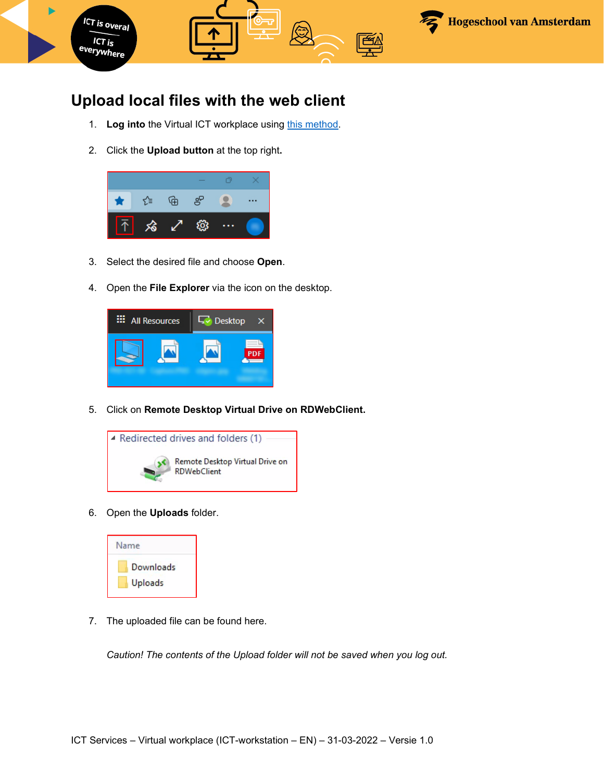

# **Upload local files with the web client**

- 1. Log into the Virtual ICT workplace using [this method.](#page-2-0)
- 2. Click the **Upload button** at the top right**.**



- 3. Select the desired file and choose **Open**.
- 4. Open the **File Explorer** via the icon on the desktop.



5. Click on **Remote Desktop Virtual Drive on RDWebClient.** 



6. Open the **Uploads** folder.



7. The uploaded file can be found here.

*Caution! The contents of the Upload folder will not be saved when you log out.*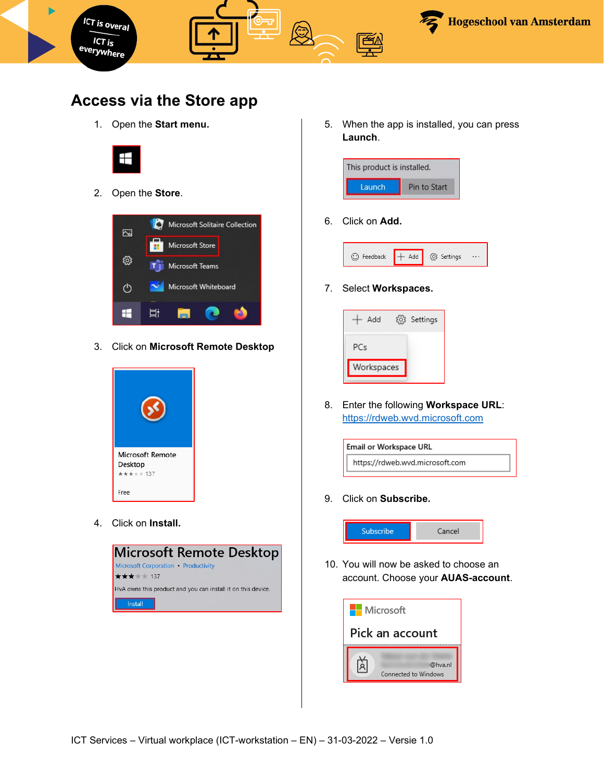

## <span id="page-4-0"></span>**Access via the Store app**

1. Open the **Start menu.**



2. Open the **Store**.



3. Click on **Microsoft Remote Desktop**



4. Click on **Install.**



5. When the app is installed, you can press **Launch**.



6. Click on **Add.**



7. Select **Workspaces.** 



8. Enter the following **Workspace URL**: [https://rdweb.wvd.microsoft.com](https://rdweb.wvd.microsoft.com/)



9. Click on **Subscribe.** 



10. You will now be asked to choose an account. Choose your **AUAS-account**.

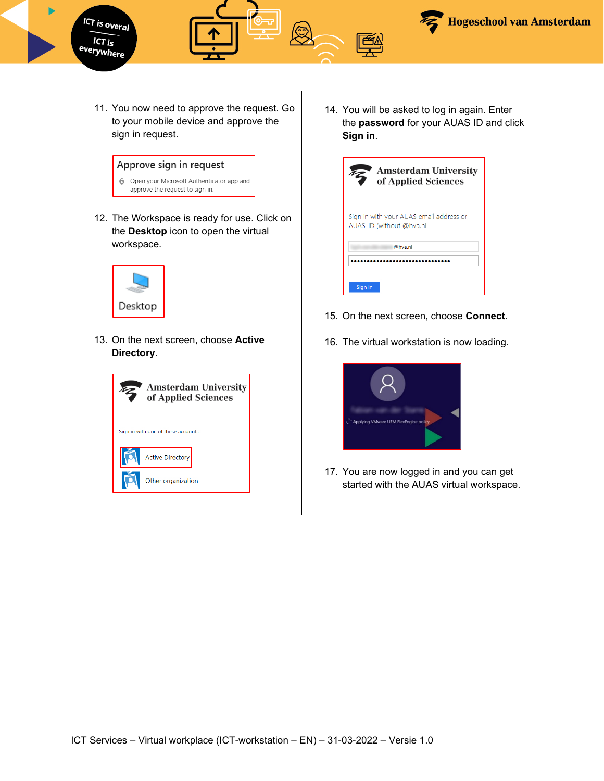

11. You now need to approve the request. Go to your mobile device and approve the sign in request.

### Approve sign in request



12. The Workspace is ready for use. Click on the **Desktop** icon to open the virtual workspace.



13. On the next screen, choose **Active Directory**.



14. You will be asked to log in again. Enter the **password** for your AUAS ID and click **Sign in**.

| <b>Amsterdam University</b><br>of Applied Sciences                  |  |  |
|---------------------------------------------------------------------|--|--|
| Sign in with your AUAS email address or<br>AUAS-ID (without @hva.nl |  |  |
| @hva.nl                                                             |  |  |
|                                                                     |  |  |
| Sign in                                                             |  |  |

- 15. On the next screen, choose **Connect**.
- 16. The virtual workstation is now loading.



17. You are now logged in and you can get started with the AUAS virtual workspace.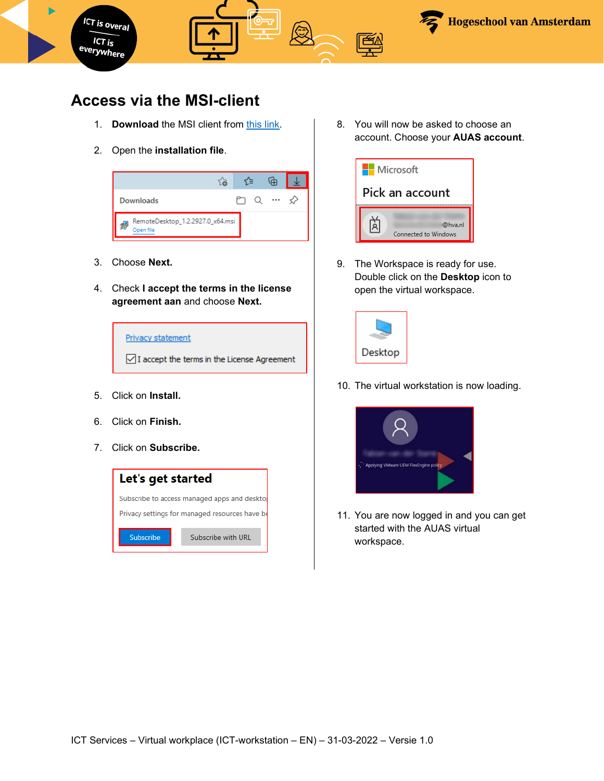

# <span id="page-6-0"></span>**Access via the MSI-client**

- 1. **Download** the MSI client from [this link.](https://go.microsoft.com/fwlink/?linkid=2068602)
- 2. Open the **installation file**.



- 3. Choose **Next.**
- 4. Check **I accept the terms in the license agreement aan** and choose **Next.**



- 5. Click on **Install.**
- 6. Click on **Finish.**
- 7. Click on **Subscribe.**



8. You will now be asked to choose an account. Choose your **AUAS account**.



9. The Workspace is ready for use. Double click on the **Desktop** icon to open the virtual workspace.



10. The virtual workstation is now loading.



11. You are now logged in and you can get started with the AUAS virtual workspace.